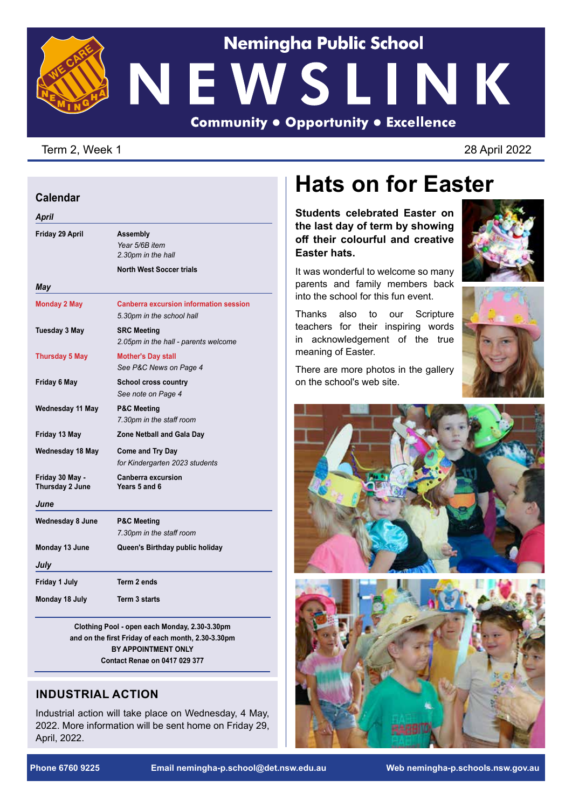# **Nemingha Public School** NEWSLINK **Community . Opportunity . Excellence**

#### Term 2, Week 1 2022

#### **Calendar**

| Friday 29 April                    | <b>Assembly</b><br>Year 5/6B item                                          |
|------------------------------------|----------------------------------------------------------------------------|
|                                    | 2.30pm in the hall                                                         |
|                                    | <b>North West Soccer trials</b>                                            |
| May                                |                                                                            |
| <b>Monday 2 May</b>                | <b>Canberra excursion information session</b><br>5.30pm in the school hall |
| Tuesday 3 May                      | <b>SRC Meeting</b><br>2.05pm in the hall - parents welcome                 |
| <b>Thursday 5 May</b>              | <b>Mother's Day stall</b><br>See P&C News on Page 4                        |
| Friday 6 May                       | <b>School cross country</b><br>See note on Page 4                          |
| Wednesday 11 May                   | <b>P&amp;C Meeting</b><br>7.30pm in the staff room                         |
| Friday 13 May                      | <b>Zone Netball and Gala Day</b>                                           |
| Wednesday 18 May                   | <b>Come and Try Day</b><br>for Kindergarten 2023 students                  |
| Friday 30 May -<br>Thursday 2 June | Canberra excursion<br>Years 5 and 6                                        |
| June                               |                                                                            |
| <b>Wednesday 8 June</b>            | <b>P&amp;C Meeting</b><br>7.30pm in the staff room                         |
| Monday 13 June                     | Queen's Birthday public holiday                                            |
| July                               |                                                                            |
| Friday 1 July                      | Term 2 ends                                                                |
| Monday 18 July                     | <b>Term 3 starts</b>                                                       |

**Clothing Pool - open each Monday, 2.30-3.30pm and on the first Friday of each month, 2.30-3.30pm BY APPOINTMENT ONLY Contact Renae on 0417 029 377**

### **INDUSTRIAL ACTION**

Industrial action will take place on Wednesday, 4 May, 2022. More information will be sent home on Friday 29, April, 2022.

## **Hats on for Easter**

**Students celebrated Easter on the last day of term by showing off their colourful and creative Easter hats.**

It was wonderful to welcome so many parents and family members back into the school for this fun event.

Thanks also to our Scripture teachers for their inspiring words in acknowledgement of the true meaning of Easter.

There are more photos in the gallery

on the school's web site.





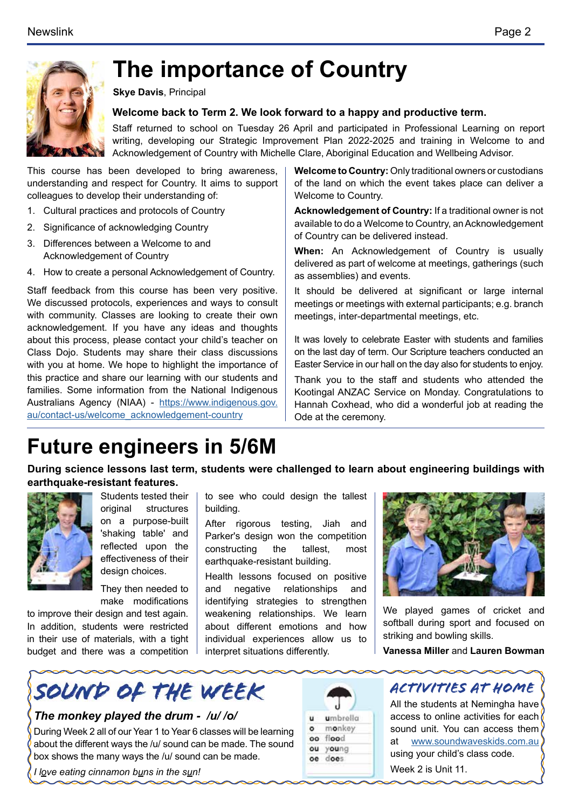

# **The importance of Country**

**Skye Davis**, Principal

#### **Welcome back to Term 2. We look forward to a happy and productive term.**

Staff returned to school on Tuesday 26 April and participated in Professional Learning on report writing, developing our Strategic Improvement Plan 2022-2025 and training in Welcome to and Acknowledgement of Country with Michelle Clare, Aboriginal Education and Wellbeing Advisor.

This course has been developed to bring awareness, understanding and respect for Country. It aims to support colleagues to develop their understanding of:

- 1. Cultural practices and protocols of Country
- 2. Significance of acknowledging Country
- 3. Differences between a Welcome to and Acknowledgement of Country
- 4. How to create a personal Acknowledgement of Country.

Staff feedback from this course has been very positive. We discussed protocols, experiences and ways to consult with community. Classes are looking to create their own acknowledgement. If you have any ideas and thoughts about this process, please contact your child's teacher on Class Dojo. Students may share their class discussions with you at home. We hope to highlight the importance of this practice and share our learning with our students and families. Some information from the National Indigenous Australians Agency (NIAA) - [https://www.indigenous.gov.](https://www.indigenous.gov.au/contact-us/welcome_acknowledgement-country) [au/contact-us/welcome\\_acknowledgement-country](https://www.indigenous.gov.au/contact-us/welcome_acknowledgement-country)

**Welcome to Country:** Only traditional owners or custodians of the land on which the event takes place can deliver a Welcome to Country.

**Acknowledgement of Country:** If a traditional owner is not available to do a Welcome to Country, an Acknowledgement of Country can be delivered instead.

**When:** An Acknowledgement of Country is usually delivered as part of welcome at meetings, gatherings (such as assemblies) and events.

It should be delivered at significant or large internal meetings or meetings with external participants; e.g. branch meetings, inter-departmental meetings, etc.

It was lovely to celebrate Easter with students and families on the last day of term. Our Scripture teachers conducted an Easter Service in our hall on the day also for students to enjoy.

Thank you to the staff and students who attended the Kootingal ANZAC Service on Monday. Congratulations to Hannah Coxhead, who did a wonderful job at reading the Ode at the ceremony.

### **Future engineers in 5/6M**

**During science lessons last term, students were challenged to learn about engineering buildings with earthquake-resistant features.** 



Students tested their original structures on a purpose-built 'shaking table' and reflected upon the effectiveness of their desian choices.

They then needed to make modifications

to improve their design and test again. In addition, students were restricted in their use of materials, with a tight budget and there was a competition to see who could design the tallest building.

After rigorous testing, Jiah and Parker's design won the competition constructing the tallest, most earthquake-resistant building.

Health lessons focused on positive and negative relationships and identifying strategies to strengthen weakening relationships. We learn about different emotions and how individual experiences allow us to interpret situations differently.



We played games of cricket and softball during sport and focused on striking and bowling skills.

**Vanessa Miller** and **Lauren Bowman**



#### *The monkey played the drum - /u/ /o/*

During Week 2 all of our Year 1 to Year 6 classes will be learning about the different ways the /u/ sound can be made. The sound box shows the many ways the /u/ sound can be made.

*I love eating cinnamon buns in the sun!*





All the students at Nemingha have access to online activities for each sound unit. You can access them at [www.soundwaveskids.com.au](http://www.soundwaveskids.com.au) using your child's class code. Week 2 is Unit 11.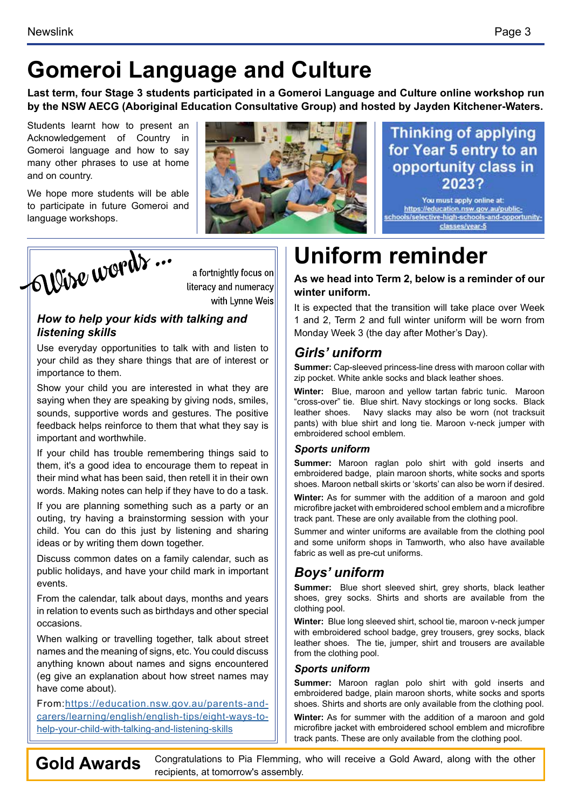# **Gomeroi Language and Culture**

**Last term, four Stage 3 students participated in a Gomeroi Language and Culture online workshop run by the NSW AECG (Aboriginal Education Consultative Group) and hosted by Jayden Kitchener-Waters.** 

Students learnt how to present an Acknowledgement of Country in Gomeroi language and how to say many other phrases to use at home and on country.

We hope more students will be able to participate in future Gomeroi and language workshops.

# **Uniform reminder**

**As we head into Term 2, below is a reminder of our winter uniform.** 

It is expected that the transition will take place over Week 1 and 2, Term 2 and full winter uniform will be worn from Monday Week 3 (the day after Mother's Day).

### *Girls' uniform*

**Summer:** Cap-sleeved princess-line dress with maroon collar with zip pocket. White ankle socks and black leather shoes.

**Winter:** Blue, maroon and yellow tartan fabric tunic. Maroon "cross-over" tie. Blue shirt. Navy stockings or long socks. Black leather shoes. Navy slacks may also be worn (not tracksuit pants) with blue shirt and long tie. Maroon v-neck jumper with embroidered school emblem.

#### *Sports uniform*

**Summer:** Maroon raglan polo shirt with gold inserts and embroidered badge, plain maroon shorts, white socks and sports shoes. Maroon netball skirts or 'skorts' can also be worn if desired.

**Winter:** As for summer with the addition of a maroon and gold microfibre jacket with embroidered school emblem and a microfibre track pant. These are only available from the clothing pool.

Summer and winter uniforms are available from the clothing pool and some uniform shops in Tamworth, who also have available fabric as well as pre-cut uniforms.

### *Boys' uniform*

**Summer:** Blue short sleeved shirt, grey shorts, black leather shoes, grey socks. Shirts and shorts are available from the clothing pool.

**Winter:** Blue long sleeved shirt, school tie, maroon v-neck jumper with embroidered school badge, grey trousers, grey socks, black leather shoes. The tie, jumper, shirt and trousers are available from the clothing pool.

#### *Sports uniform*

**Summer:** Maroon raglan polo shirt with gold inserts and embroidered badge, plain maroon shorts, white socks and sports shoes. Shirts and shorts are only available from the clothing pool.

**Winter:** As for summer with the addition of a maroon and gold microfibre jacket with embroidered school emblem and microfibre track pants. These are only available from the clothing pool.

Gold Awards Congratulations to Pia Flemming, who will receive a Gold Award, along with the other recipients, at tomorrow's assembly.

### Wise words ... literacy and numeracy with Lynne Weis

#### *How to help your kids with talking and listening skills*

Use everyday opportunities to talk with and listen to your child as they share things that are of interest or importance to them.

Show your child you are interested in what they are saying when they are speaking by giving nods, smiles, sounds, supportive words and gestures. The positive feedback helps reinforce to them that what they say is important and worthwhile.

If your child has trouble remembering things said to them, it's a good idea to encourage them to repeat in their mind what has been said, then retell it in their own words. Making notes can help if they have to do a task.

If you are planning something such as a party or an outing, try having a brainstorming session with your child. You can do this just by listening and sharing ideas or by writing them down together.

Discuss common dates on a family calendar, such as public holidays, and have your child mark in important events.

From the calendar, talk about days, months and years in relation to events such as birthdays and other special occasions.

When walking or travelling together, talk about street names and the meaning of signs, etc. You could discuss anything known about names and signs encountered (eg give an explanation about how street names may have come about).

From:[https://education.nsw.gov.au/parents-and](https://education.nsw.gov.au/parents-and-carers/learning/english/english-tips/eight-ways-to-help-your-child-with-talking-and-listening-skills )[carers/learning/english/english-tips/eight-ways-to](https://education.nsw.gov.au/parents-and-carers/learning/english/english-tips/eight-ways-to-help-your-child-with-talking-and-listening-skills )[help-your-child-with-talking-and-listening-skills](https://education.nsw.gov.au/parents-and-carers/learning/english/english-tips/eight-ways-to-help-your-child-with-talking-and-listening-skills )



a fortnightly focus on

**Thinking of applying** for Year 5 entry to an opportunity class in 2023?

You must apply online at:<br>https://education.nsw.gov.au/publicschools/selective-high-schools-and-opportunityclasses/year-5